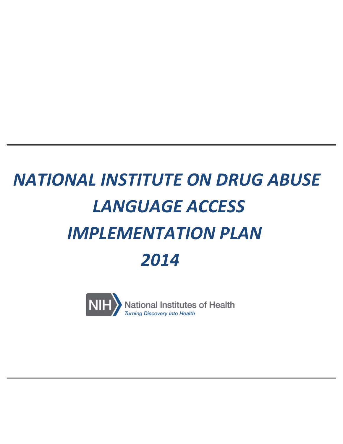# *NATIONAL INSTITUTE ON DRUG ABUSE LANGUAGE ACCESS IMPLEMENTATION PLAN 2014*

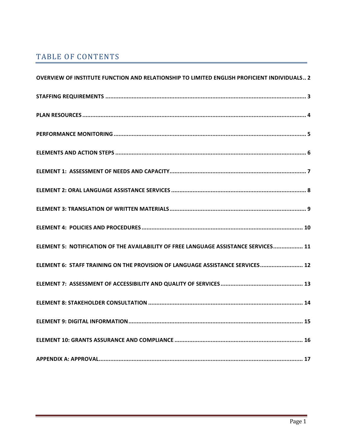# TABLE OF CONTENTS

| OVERVIEW OF INSTITUTE FUNCTION AND RELATIONSHIP TO LIMITED ENGLISH PROFICIENT INDIVIDUALS 2 |
|---------------------------------------------------------------------------------------------|
|                                                                                             |
|                                                                                             |
|                                                                                             |
|                                                                                             |
|                                                                                             |
|                                                                                             |
|                                                                                             |
|                                                                                             |
| ELEMENT 5: NOTIFICATION OF THE AVAILABILITY OF FREE LANGUAGE ASSISTANCE SERVICES 11         |
| ELEMENT 6: STAFF TRAINING ON THE PROVISION OF LANGUAGE ASSISTANCE SERVICES 12               |
|                                                                                             |
|                                                                                             |
|                                                                                             |
|                                                                                             |
|                                                                                             |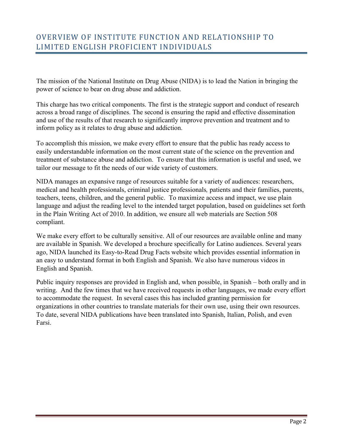The mission of the National Institute on Drug Abuse (NIDA) is to lead the Nation in bringing the power of science to bear on drug abuse and addiction.

This charge has two critical components. The first is the strategic support and conduct of research across a broad range of disciplines. The second is ensuring the rapid and effective dissemination and use of the results of that research to significantly improve prevention and treatment and to inform policy as it relates to drug abuse and addiction.

To accomplish this mission, we make every effort to ensure that the public has ready access to easily understandable information on the most current state of the science on the prevention and treatment of substance abuse and addiction. To ensure that this information is useful and used, we tailor our message to fit the needs of our wide variety of customers.

NIDA manages an expansive range of resources suitable for a variety of audiences: researchers, medical and health professionals, criminal justice professionals*,* patients and their families, parents, teachers, teens, children, and the general public. To maximize access and impact, we use plain language and adjust the reading level to the intended target population, based on guidelines set forth in the Plain Writing Act of 2010. In addition, we ensure all web materials are Section 508 compliant.

We make every effort to be culturally sensitive. All of our resources are available online and many are available in Spanish. We developed a brochure specifically for Latino audiences. Several years ago, NIDA launched its Easy-to-Read Drug Facts website which provides essential information in an easy to understand format in both English and Spanish. We also have numerous videos in English and Spanish.

Public inquiry responses are provided in English and, when possible, in Spanish – both orally and in writing. And the few times that we have received requests in other languages, we made every effort to accommodate the request. In several cases this has included granting permission for organizations in other countries to translate materials for their own use, using their own resources. To date, several NIDA publications have been translated into Spanish, Italian, Polish, and even Farsi.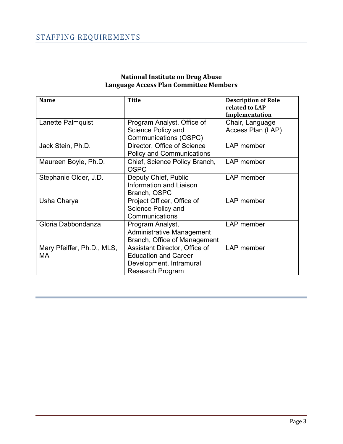| <b>Name</b>                             | <b>Title</b>                                                                                                       | <b>Description of Role</b><br>related to LAP<br>Implementation |  |
|-----------------------------------------|--------------------------------------------------------------------------------------------------------------------|----------------------------------------------------------------|--|
| Lanette Palmquist                       | Program Analyst, Office of                                                                                         | Chair, Language                                                |  |
|                                         | Science Policy and<br>Communications (OSPC)                                                                        | Access Plan (LAP)                                              |  |
| Jack Stein, Ph.D.                       | Director, Office of Science<br><b>Policy and Communications</b>                                                    | LAP member                                                     |  |
| Maureen Boyle, Ph.D.                    | Chief, Science Policy Branch,<br><b>OSPC</b>                                                                       | LAP member                                                     |  |
| Stephanie Older, J.D.                   | Deputy Chief, Public<br>Information and Liaison<br>Branch, OSPC                                                    | LAP member                                                     |  |
| Usha Charya                             | Project Officer, Office of<br>Science Policy and<br>Communications                                                 | LAP member                                                     |  |
| Gloria Dabbondanza                      | Program Analyst,<br>Administrative Management<br>Branch, Office of Management                                      | LAP member                                                     |  |
| Mary Pfeiffer, Ph.D., MLS,<br><b>MA</b> | Assistant Director, Office of<br><b>Education and Career</b><br>Development, Intramural<br><b>Research Program</b> | LAP member                                                     |  |

#### **National Institute on Drug Abuse Language Access Plan Committee Members**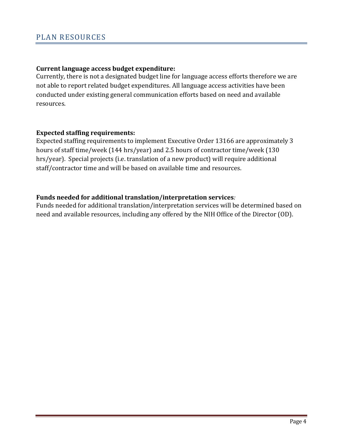# **Current language access budget expenditure:**

Currently, there is not a designated budget line for language access efforts therefore we are not able to report related budget expenditures. All language access activities have been conducted under existing general communication efforts based on need and available resources. 

# **Expected staffing requirements:**

Expected staffing requirements to implement Executive Order 13166 are approximately 3 hours of staff time/week (144 hrs/year) and 2.5 hours of contractor time/week (130 hrs/year). Special projects (i.e. translation of a new product) will require additional staff/contractor time and will be based on available time and resources.

# Funds needed for additional translation/interpretation services*:*

Funds needed for additional translation/interpretation services will be determined based on need and available resources, including any offered by the NIH Office of the Director (OD).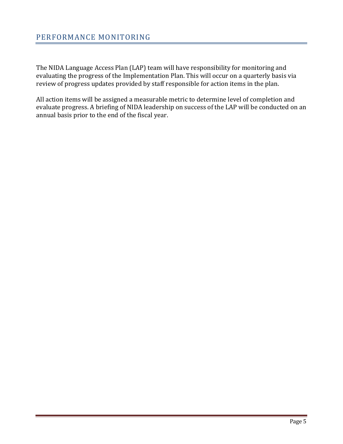The NIDA Language Access Plan (LAP) team will have responsibility for monitoring and evaluating the progress of the Implementation Plan. This will occur on a quarterly basis via review of progress updates provided by staff responsible for action items in the plan.

All action items will be assigned a measurable metric to determine level of completion and evaluate progress. A briefing of NIDA leadership on success of the LAP will be conducted on an annual basis prior to the end of the fiscal year.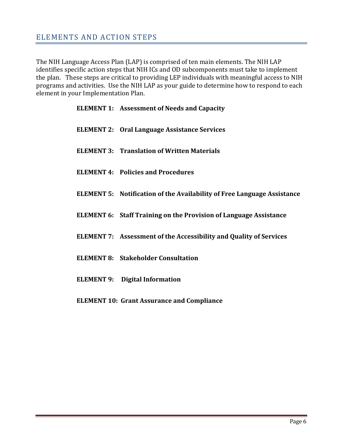The NIH Language Access Plan (LAP) is comprised of ten main elements. The NIH LAP identifies specific action steps that NIH ICs and OD subcomponents must take to implement the plan. These steps are critical to providing LEP individuals with meaningful access to NIH programs and activities. Use the NIH LAP as your guide to determine how to respond to each element in your Implementation Plan.

| <b>ELEMENT 1: Assessment of Needs and Capacity</b>                             |
|--------------------------------------------------------------------------------|
| <b>ELEMENT 2: Oral Language Assistance Services</b>                            |
| <b>ELEMENT 3: Translation of Written Materials</b>                             |
| <b>ELEMENT 4: Policies and Procedures</b>                                      |
| <b>ELEMENT 5: Notification of the Availability of Free Language Assistance</b> |
| <b>ELEMENT 6: Staff Training on the Provision of Language Assistance</b>       |
| <b>ELEMENT 7:</b> Assessment of the Accessibility and Quality of Services      |
| <b>ELEMENT 8: Stakeholder Consultation</b>                                     |
| <b>ELEMENT 9: Digital Information</b>                                          |
| <b>ELEMENT 10: Grant Assurance and Compliance</b>                              |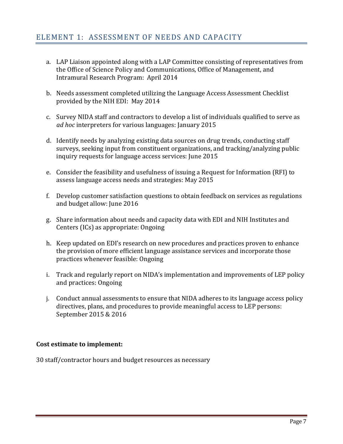- a. LAP Liaison appointed along with a LAP Committee consisting of representatives from the Office of Science Policy and Communications, Office of Management, and Intramural Research Program: April 2014
- b. Needs assessment completed utilizing the Language Access Assessment Checklist provided by the NIH EDI: May 2014
- c. Survey NIDA staff and contractors to develop a list of individuals qualified to serve as *ad hoc* interpreters for various languages: January 2015
- d. Identify needs by analyzing existing data sources on drug trends, conducting staff surveys, seeking input from constituent organizations, and tracking/analyzing public inquiry requests for language access services: June 2015
- e. Consider the feasibility and usefulness of issuing a Request for Information (RFI) to assess language access needs and strategies: May 2015
- f. Develop customer satisfaction questions to obtain feedback on services as regulations and budget allow: June 2016
- g. Share information about needs and capacity data with EDI and NIH Institutes and Centers (ICs) as appropriate: Ongoing
- h. Keep updated on EDI's research on new procedures and practices proven to enhance the provision of more efficient language assistance services and incorporate those practices whenever feasible: Ongoing
- i. Track and regularly report on NIDA's implementation and improvements of LEP policy and practices: Ongoing
- j. Conduct annual assessments to ensure that NIDA adheres to its language access policy directives, plans, and procedures to provide meaningful access to LEP persons: September 2015 & 2016

# **Cost estimate to implement:**

30 staff/contractor hours and budget resources as necessary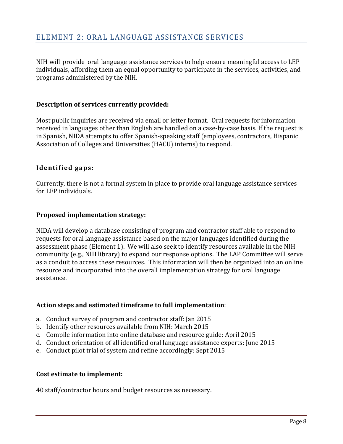NIH will provide oral language assistance services to help ensure meaningful access to LEP individuals, affording them an equal opportunity to participate in the services, activities, and programs administered by the NIH.

#### Description of services currently provided:

Most public inquiries are received via email or letter format. Oral requests for information received in languages other than English are handled on a case-by-case basis. If the request is in Spanish, NIDA attempts to offer Spanish-speaking staff (employees, contractors, Hispanic Association of Colleges and Universities (HACU) interns) to respond.

# **Identified gaps:**

Currently, there is not a formal system in place to provide oral language assistance services for LEP individuals.

# **Proposed implementation strategy:**

NIDA will develop a database consisting of program and contractor staff able to respond to requests for oral language assistance based on the major languages identified during the assessment phase (Element 1). We will also seek to identify resources available in the NIH community (e.g., NIH library) to expand our response options. The LAP Committee will serve as a conduit to access these resources. This information will then be organized into an online resource and incorporated into the overall implementation strategy for oral language assistance.

# **Action steps and estimated timeframe to full implementation**:

- a. Conduct survey of program and contractor staff: Jan 2015
- b. Identify other resources available from NIH: March 2015
- c. Compile information into online database and resource guide: April 2015
- d. Conduct orientation of all identified oral language assistance experts: June 2015
- e. Conduct pilot trial of system and refine accordingly: Sept 2015

# **Cost estimate to implement:**

40 staff/contractor hours and budget resources as necessary.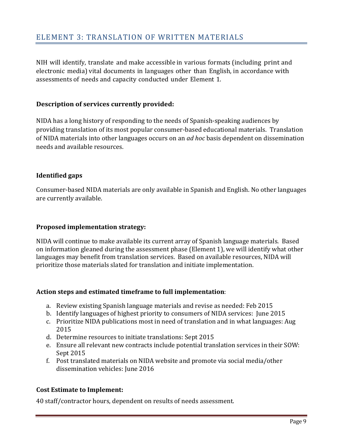NIH will identify, translate and make accessible in various formats (including print and electronic media) vital documents in languages other than English, in accordance with assessments of needs and capacity conducted under Element 1.

# **Description of services currently provided:**

NIDA has a long history of responding to the needs of Spanish-speaking audiences by providing translation of its most popular consumer-based educational materials. Translation of NIDA materials into other languages occurs on an *ad hoc* basis dependent on dissemination needs and available resources.

# **Identified gaps**

Consumer-based NIDA materials are only available in Spanish and English. No other languages are currently available.

# **Proposed implementation strategy:**

NIDA will continue to make available its current array of Spanish language materials. Based on information gleaned during the assessment phase (Element 1), we will identify what other languages may benefit from translation services. Based on available resources, NIDA will prioritize those materials slated for translation and initiate implementation.

# **Action steps and estimated timeframe to full implementation**:

- a. Review existing Spanish language materials and revise as needed: Feb 2015
- b. Identify languages of highest priority to consumers of NIDA services: June 2015
- c. Prioritize NIDA publications most in need of translation and in what languages: Aug 2015
- d. Determine resources to initiate translations: Sept 2015
- e. Ensure all relevant new contracts include potential translation services in their SOW: Sept 2015
- f. Post translated materials on NIDA website and promote via social media/other dissemination vehicles: June 2016

# **Cost Estimate to Implement:**

40 staff/contractor hours, dependent on results of needs assessment.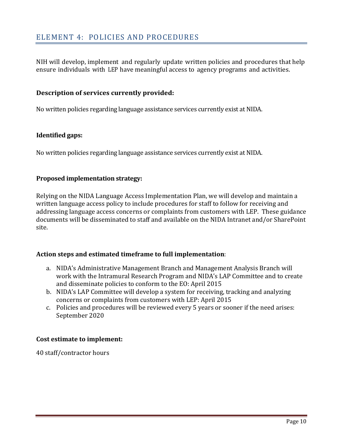# ELEMENT 4: POLICIES AND PROCEDURES

NIH will develop, implement and regularly update written policies and procedures that help ensure individuals with LEP have meaningful access to agency programs and activities.

#### **Description of services currently provided:**

No written policies regarding language assistance services currently exist at NIDA.

#### **Identified gaps:**

No written policies regarding language assistance services currently exist at NIDA.

#### **Proposed implementation strategy:**

Relying on the NIDA Language Access Implementation Plan, we will develop and maintain a written language access policy to include procedures for staff to follow for receiving and addressing language access concerns or complaints from customers with LEP. These guidance documents will be disseminated to staff and available on the NIDA Intranet and/or SharePoint site. 

#### **Action steps and estimated timeframe to full implementation**:

- a. NIDA's Administrative Management Branch and Management Analysis Branch will work with the Intramural Research Program and NIDA's LAP Committee and to create and disseminate policies to conform to the EO: April 2015
- b. NIDA's LAP Committee will develop a system for receiving, tracking and analyzing concerns or complaints from customers with LEP: April 2015
- c. Policies and procedures will be reviewed every 5 years or sooner if the need arises: September 2020

#### **Cost estimate to implement:**

40 staff/contractor hours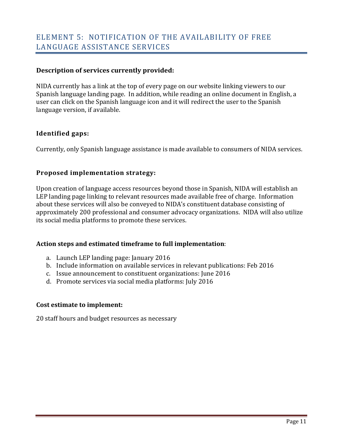# **Description of services currently provided:**

NIDA currently has a link at the top of every page on our website linking viewers to our Spanish language landing page. In addition, while reading an online document in English, a user can click on the Spanish language icon and it will redirect the user to the Spanish language version, if available.

# **Identified gaps:**

Currently, only Spanish language assistance is made available to consumers of NIDA services.

# **Proposed implementation strategy:**

Upon creation of language access resources beyond those in Spanish, NIDA will establish an LEP landing page linking to relevant resources made available free of charge. Information about these services will also be conveyed to NIDA's constituent database consisting of approximately 200 professional and consumer advocacy organizations. NIDA will also utilize its social media platforms to promote these services.

# **Action steps and estimated timeframe to full implementation**:

- a. Launch LEP landing page: January 2016
- b. Include information on available services in relevant publications: Feb 2016
- c. Issue announcement to constituent organizations: June 2016
- d. Promote services via social media platforms: July 2016

# **Cost estimate to implement:**

20 staff hours and budget resources as necessary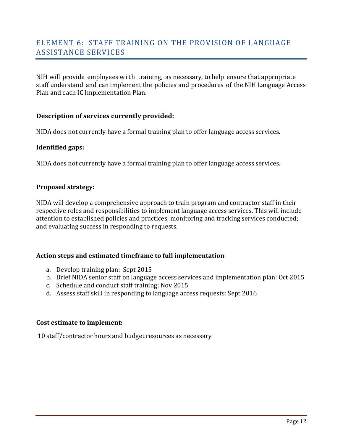NIH will provide employees with training, as necessary, to help ensure that appropriate staff understand and can implement the policies and procedures of the NIH Language Access Plan and each IC Implementation Plan.

# **Description of services currently provided:**

NIDA does not currently have a formal training plan to offer language access services.

#### **Identified gaps:**

NIDA does not currently have a formal training plan to offer language access services.

#### **Proposed strategy:**

NIDA will develop a comprehensive approach to train program and contractor staff in their respective roles and responsibilities to implement language access services. This will include attention to established policies and practices; monitoring and tracking services conducted; and evaluating success in responding to requests.

# Action steps and estimated timeframe to full implementation:

- a. Develop training plan: Sept 2015
- b. Brief NIDA senior staff on language access services and implementation plan: Oct 2015
- c. Schedule and conduct staff training: Nov 2015
- d. Assess staff skill in responding to language access requests: Sept 2016

#### **Cost estimate to implement:**

10 staff/contractor hours and budget resources as necessary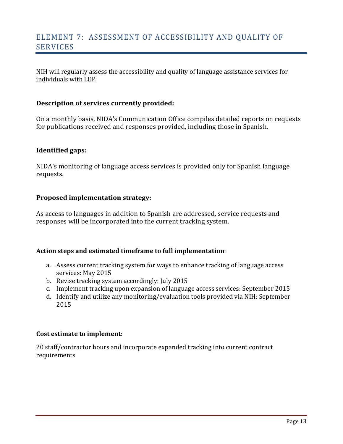# ELEMENT 7: ASSESSMENT OF ACCESSIBILITY AND OUALITY OF SERVICES

NIH will regularly assess the accessibility and quality of language assistance services for individuals with LEP. 

#### **Description of services currently provided:**

On a monthly basis, NIDA's Communication Office compiles detailed reports on requests for publications received and responses provided, including those in Spanish.

#### **Identified gaps:**

NIDA's monitoring of language access services is provided only for Spanish language requests. 

#### **Proposed implementation strategy:**

As access to languages in addition to Spanish are addressed, service requests and responses will be incorporated into the current tracking system.

#### **Action steps and estimated timeframe to full implementation**:

- a. Assess current tracking system for ways to enhance tracking of language access services: May 2015
- b. Revise tracking system accordingly: July 2015
- c. Implement tracking upon expansion of language access services: September 2015
- d. Identify and utilize any monitoring/evaluation tools provided via NIH: September 2015

#### **Cost estimate to implement:**

20 staff/contractor hours and incorporate expanded tracking into current contract requirements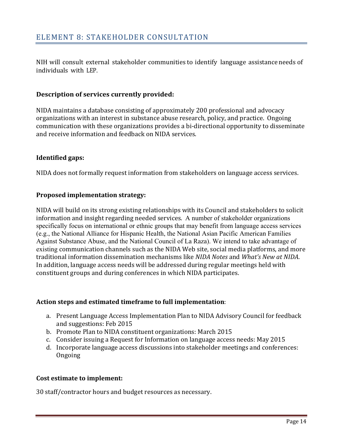NIH will consult external stakeholder communities to identify language assistance needs of individuals with LEP.

# **Description of services currently provided:**

NIDA maintains a database consisting of approximately 200 professional and advocacy organizations with an interest in substance abuse research, policy, and practice. Ongoing communication with these organizations provides a bi-directional opportunity to disseminate and receive information and feedback on NIDA services.

# **Identified gaps:**

NIDA does not formally request information from stakeholders on language access services.

# **Proposed implementation strategy:**

NIDA will build on its strong existing relationships with its Council and stakeholders to solicit information and insight regarding needed services. A number of stakeholder organizations specifically focus on international or ethnic groups that may benefit from language access services (e.g., the National Alliance for Hispanic Health, the National Asian Pacific American Families Against Substance Abuse, and the National Council of La Raza). We intend to take advantage of existing communication channels such as the NIDA Web site, social media platforms, and more traditional information dissemination mechanisms like *NIDA Notes* and *What's New at NIDA*. In addition, language access needs will be addressed during regular meetings held with constituent groups and during conferences in which NIDA participates.

# **Action steps and estimated timeframe to full implementation**:

- a. Present Language Access Implementation Plan to NIDA Advisory Council for feedback and suggestions: Feb 2015
- b. Promote Plan to NIDA constituent organizations: March 2015
- c. Consider issuing a Request for Information on language access needs: May 2015
- d. Incorporate language access discussions into stakeholder meetings and conferences: Ongoing

# **Cost estimate to implement:**

30 staff/contractor hours and budget resources as necessary.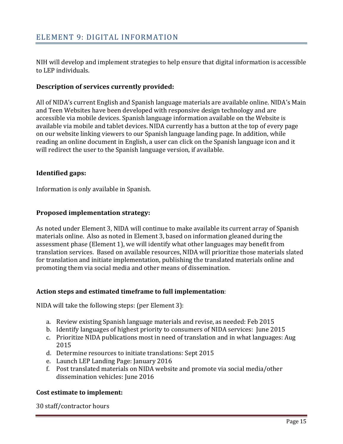NIH will develop and implement strategies to help ensure that digital information is accessible to LEP individuals.

# **Description of services currently provided:**

All of NIDA's current English and Spanish language materials are available online. NIDA's Main and Teen Websites have been developed with responsive design technology and are accessible via mobile devices. Spanish language information available on the Website is available via mobile and tablet devices. NIDA currently has a button at the top of every page on our website linking viewers to our Spanish language landing page. In addition, while reading an online document in English, a user can click on the Spanish language icon and it will redirect the user to the Spanish language version, if available.

# **Identified gaps:**

Information is only available in Spanish.

# **Proposed implementation strategy:**

As noted under Element 3, NIDA will continue to make available its current array of Spanish materials online. Also as noted in Element 3, based on information gleaned during the assessment phase (Element 1), we will identify what other languages may benefit from translation services. Based on available resources, NIDA will prioritize those materials slated for translation and initiate implementation, publishing the translated materials online and promoting them via social media and other means of dissemination.

# Action steps and estimated timeframe to full implementation:

NIDA will take the following steps: (per Element 3):

- a. Review existing Spanish language materials and revise, as needed: Feb 2015
- b. Identify languages of highest priority to consumers of NIDA services: June 2015
- c. Prioritize NIDA publications most in need of translation and in what languages: Aug 2015
- d. Determine resources to initiate translations: Sept 2015
- e. Launch LEP Landing Page: January 2016
- f. Post translated materials on NIDA website and promote via social media/other dissemination vehicles: June 2016

# **Cost estimate to implement:**

30 staff/contractor hours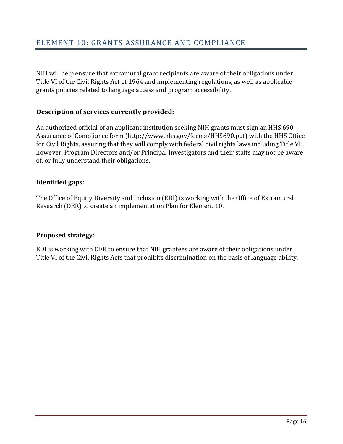NIH will help ensure that extramural grant recipients are aware of their obligations under Title VI of the Civil Rights Act of 1964 and implementing regulations, as well as applicable grants policies related to language access and program accessibility.

# **Description of services currently provided:**

An authorized official of an applicant institution seeking NIH grants must sign an HHS 690 Assurance of Compliance form (http://www.hhs.gov/forms/HHS690.pdf) with the HHS Office for Civil Rights, assuring that they will comply with federal civil rights laws including Title VI; however, Program Directors and/or Principal Investigators and their staffs may not be aware of, or fully understand their obligations.

# **Identified gaps:**

The Office of Equity Diversity and Inclusion (EDI) is working with the Office of Extramural Research (OER) to create an implementation Plan for Element 10.

# **Proposed strategy:**

EDI is working with OER to ensure that NIH grantees are aware of their obligations under Title VI of the Civil Rights Acts that prohibits discrimination on the basis of language ability.